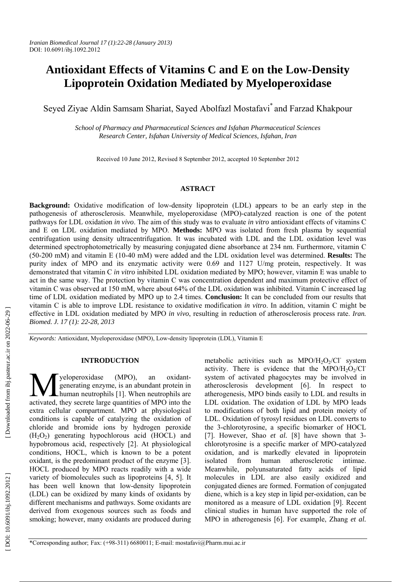# **Antioxidant Effects of Vitamins C and E on the Low-Density Lipoprotein Oxidation Mediated by Myeloperoxidase**

Seyed Ziyae Aldin Samsam Shariat, Sayed Abolfazl Mostafavi\* and Farzad Khakpour

*School of Pharmacy and Pharmaceutical Sciences and Isfahan Pharmaceutical Sciences Research Center, Isfahan University of Medical Sciences, Isfahan, Iran* 

Received 10 June 2012, Revised 8 September 2012, accepted 10 September 2012

## **ASTRACT**

**Background:** Oxidative modification of low-density lipoprotein (LDL) appears to be an early step in the pathogenesis of atherosclerosis. Meanwhile, myeloperoxidase (MPO)-catalyzed reaction is one of the potent pathways for LDL oxidation *in vivo*. The aim of this study was to evaluate *in vitro* antioxidant effects of vitamins C and E on LDL oxidation mediated by MPO. **Methods:** MPO was isolated from fresh plasma by sequential centrifugation using density ultracentrifugation. It was incubated with LDL and the LDL oxidation level was determined spectrophotometrically by measuring conjugated diene absorbance at 234 nm. Furthermore, vitamin C (50-200 mM) and vitamin E (10-40 mM) were added and the LDL oxidation level was determined. **Results:** The purity index of MPO and its enzymatic activity were 0.69 and 1127 U/mg protein, respectively. It was demonstrated that vitamin C *in vitro* inhibited LDL oxidation mediated by MPO; however, vitamin E was unable to act in the same way. The protection by vitamin C was concentration dependent and maximum protective effect of vitamin C was observed at 150 mM, where about 64% of the LDL oxidation was inhibited. Vitamin C increased lag time of LDL oxidation mediated by MPO up to 2.4 times. **Conclusion:** It can be concluded from our results that vitamin C is able to improve LDL resistance to oxidative modification *in vitro*. In addition, vitamin C might be effective in LDL oxidation mediated by MPO *in vivo*, resulting in reduction of atherosclerosis process rate. *Iran. Biomed. J. 17 (1): 22-28, 2013*

*Keywords:* Antioxidant, Myeloperoxidase (MPO), Low-density lipoprotein (LDL), Vitamin E

## **INTRODUCTION**

yeloperoxidase (MPO), an oxidantgenerating enzyme, is an abundant protein in **M** yeloperoxidase (MPO), an oxidant-<br>generating enzyme, is an abundant protein in<br>activated they secrete large quantities of MPO into the activated, they secrete large quantities of MPO into the extra cellular compartment. MPO at physiological conditions is capable of catalyzing the oxidation of chloride and bromide ions by hydrogen peroxide (H 2 O 2) generating hypochlorous acid (HOCL) and hypobromous acid, respectively [2]. At physiological conditions, HOCL, which is known to be a potent oxidant, is the predominant product of the enzyme [3]. HOCL produced by MPO reacts readily with a wide variety of biomolecules such as lipoproteins [4, 5]. It has been well known that low-density lipoprotein (LDL) can be oxidized by many kinds of oxidants by different mechanisms and pathways. Some oxidants are derived from exogenous sources such as foods and smoking; however, many oxidants are produced during

metabolic activities such as  $MPO/H_2O_2/CI$  system activity. There is evidence that the  $MPO/H<sub>2</sub>O<sub>2</sub>/Cl$ system of activated phagocytes may be involved in atherosclerosis development [6]. In respect to atherogenesis, MPO binds easily to LDL and results in LDL oxidation. The oxidation of LDL by MPO leads to modifications of both lipid and protein moiety of LDL. Oxidation of tyrosyl residues on LDL converts to the 3-chlorotyrosine, a specific biomarker of HOCL [7]. However, Shao *et al.* [8] have shown that 3 chlorotyrosine is a specific marker of MPO-catalyzed oxidation, and is markedly elevated in lipoprotein isolated from human atherosclerotic intimae. Meanwhile, polyunsaturated fatty acids of lipid molecules in LDL are also easily oxidized and conjugated dienes are formed. Formation of conjugated diene, which is a key step in lipid per-oxidation, can be monitored as a measure of LDL oxidation [9]. Recent clinical studies in human have supported the role of MPO in atherogenesis [6]. For example, Zhang *et al.*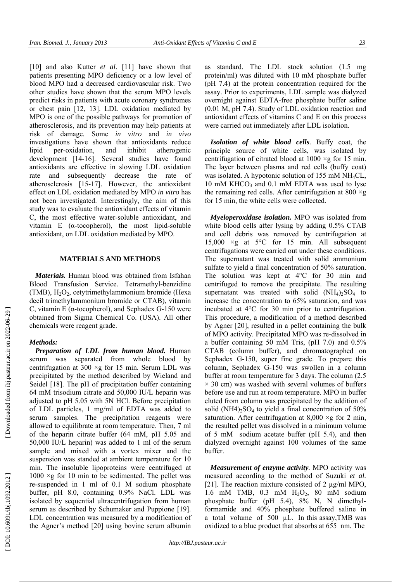[10] and also Kutter *et al.* [11] have shown that patients presenting MPO deficiency or a low level of blood MPO had a decreased cardiovascular risk. Two other studies have shown that the serum MPO levels predict risks in patients with acute coronary syndromes or chest pain [12, 13]. LDL oxidation mediated by MPO is one of the possible pathways for promotion of atherosclerosis, and its prevention may help patients at risk of damage. Some *in vitro* and *in vivo* investigations have shown that antioxidants reduce lipid per-oxidation, and inhibit atherogenic development [14-16]. Several studies have found antioxidants are effective in slowing LDL oxidation rate and subsequently decrease the rate of atherosclerosis [15-17]. However, the antioxidant effect on LDL oxidation mediated by MPO *in vitro* has not been investigated. Interestingly, the aim of this study was to evaluate the antioxidant effects of vitamin C, the most effective water-soluble antioxidant, and vitamin  $E$  ( $\alpha$ -tocopherol), the most lipid-soluble antioxidant, on LDL oxidation mediated by MPO.

## **MATERIALS AND METHODS**

*Materials.* Human blood was obtained from Isfahan Blood Transfusion Service. Tetramethyl-benzidine (TMB), H 2 O 2, cetytrimethylammonium bromide (Hexa decil trimethylammonium bromide or CTAB), vitamin C, vitamin  $E$  ( $\alpha$ -tocopherol), and Sephadex G-150 were obtained from Sigma Chemical Co. (USA). All other chemicals were reagent grade.

#### *Methods:*

*Preparation of LDL from human blood.* Human serum was separated from whole blood by centrifugation at 300 ×g for 15 min. Serum LDL was precipitated by the method described by Wieland and Seidel [18]. The pH of precipitation buffer containing 64 mM trisodium citrate and 50,000 IU/L heparin was adjusted to pH 5.05 with 5N HCl. Before precipitation of LDL particles, 1 mg/ml of EDTA was added to serum samples. The precipitation reagents were allowed to equilibrate at room temperature. Then, 7 ml of the heparin citrate buffer (64 mM, pH 5.05 and 50,000 IU/L heparin) was added to 1 ml of the serum sample and mixed with a vortex mixer and the suspension was standed at ambient temperature for 10 min. The insoluble lipoproteins were centrifuged at  $1000 \times g$  for 10 min to be sedimented. The pellet was re-suspended in 1 ml of 0.1 M sodium phosphate buffer, pH 8.0, containing 0.9% NaCl. LDL was isolated by sequential ultracentrifugation from human serum as described by Schumaker and Puppione [19]. LDL concentration was measured by a modification of the Agner's method [20] using bovine serum albumin

as standard. The LDL stock solution (1.5 mg protein/ml) was diluted with 10 mM phosphate buffer (pH 7.4) at the protein concentration required for the assay. Prior to experiments, LDL sample was dialyzed overnight against EDTA-free phosphate buffer saline (0.01 M, pH 7.4). Study of LDL oxidation reaction and antioxidant effects of vitamins C and E on this process were carried out immediately after LDL isolation.

*Isolation of white blood cells.* Buffy coat, the principle source of white cells, was isolated by centrifugation of citrated blood at  $1000 \times g$  for 15 min. The layer between plasma and red cells (buffy coat) was isolated. A hypotonic solution of 155 mM NH 4CL, 10 mM KHCO 3 and 0.1 mM EDTA was used to lyse the remaining red cells. After centrifugation at  $800 \times g$ for 15 min, the white cells were collected.

*Myeloperoxidase isolation***.** MPO was isolated from white blood cells after lysing by adding 0.5% CTAB and cell debris was removed by centrifugation at 15,000  $\times$ g at 5°C for 15 min. All subsequent centrifugations were carried out under these conditions. The supernatant was treated with solid ammonium sulfate to yield a final concentration of 50% saturation. The solution was kept at 4°C for 30 min and centrifuged to remove the precipitate. The resulting supernatant was treated with solid  $(NH_4)_2SO_4$  to increase the concentration to 65% saturation, and was incubated at 4°C for 30 min prior to centrifugation. This procedure, a modification of a method described by Agner [20], resulted in a pellet containing the bulk of MPO activity. Precipitated MPO was re-dissolved in a buffer containing 50 mM Tris, (pH 7.0) and 0.5% CTAB (column buffer), and chromatographed on Sephadex G-150, super fine grade. To prepare this column, Sephadex G-150 was swollen in a column buffer at room temperature for 3 days. The column (2.5  $\times$  30 cm) was washed with several volumes of buffers before use and run at room temperature. MPO in buffer eluted from column was precipitated by the addition of solid  $(NH4)_2SO_4$  to yield a final concentration of 50% saturation. After centrifugation at  $8,000 \times g$  for 2 min, the resulted pellet was dissolved in a minimum volume of 5 mM sodium acetate buffer (pH 5.4), and then dialyzed overnight against 100 volumes of the same buffer.

*Measurement of enzyme activity.* MPO activity was measured according to the method of Suzuki *et al.*  [21]. The reaction mixture consisted of 2 µg/ml MPO, 1.6 mM TMB, 0.3 mM H 2 O 2, 80 mM sodium phosphate buffer (pH 5.4), 8% N, N dimethylformamide and 40% phosphate buffered saline in a total volume of 500 µL. In this assay,TMB was oxidized to a blue product that absorbs at 655 nm. The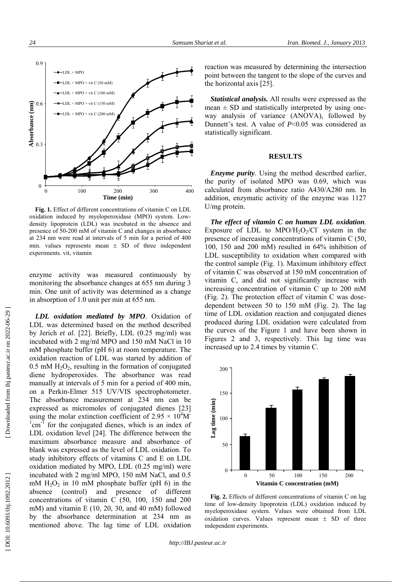

**Fig. 1.** Effect of different concentrations of vitamin C on LDL oxidation induced by myeloperoxidase (MPO) system. Lowdensity lipoprotein (LDL) was incubated in the absence and presence of 50-200 mM of vitamin C and changes in absorbance at 234 nm were read at intervals of 5 min for a period of 400 min. values represents mean  $\pm$  SD of three independent experiments. vit, vitamin

enzyme activity was measured continuously by monitoring the absorbance changes at 655 nm during 3 min. One unit of activity was determined as a change in absorption of 1.0 unit per min at 655 nm.

*LDL oxidation mediated by MPO*. Oxidation of LDL was determined based on the method described by Jerich *et al.* [22]. Briefly, LDL (0.25 mg/ml) was incubated with 2 mg/ml MPO and 150 mM NaCl in 10 mM phosphate buffer (pH 6) at room temperature. The oxidation reaction of LDL was started by addition of  $0.5$  mM  $H<sub>2</sub>O<sub>2</sub>$ , resulting in the formation of conjugated diene hydroperoxides. The absorbance was read manually at intervals of 5 min for a period of 400 min, on a Perkin-Elmer 515 UV/VIS spectrophotometer. The absorbance measurement at 234 nm can be expressed as micromoles of conjugated dienes [23] using the molar extinction coefficient of 2.95  $\times$  10<sup>4</sup>M<sup>-</sup>  $1$ <sup>1</sup> cm<sup>-1</sup> for the conjugated dienes, which is an index of LDL oxidation level [24]. The difference between the maximum absorbance measure and absorbance of blank was expressed as the level of LDL oxidation. To study inhibitory effects of vitamins C and E on LDL oxidation mediated by MPO, LDL (0.25 mg/ml) were incubated with 2 mg/ml MPO, 150 mM NaCl, and 0.5 mM  $H_2O_2$  in 10 mM phosphate buffer (pH 6) in the absence (control) and presence of different concentrations of vitamin C (50, 100, 150 and 200 mM) and vitamin E (10, 20, 30, and 40 mM) followed by the absorbance determination at 234 nm as mentioned above. The lag time of LDL oxidation

reaction was measured by determining the intersection point between the tangent to the slope of the curves and the horizontal axis [25].

*Statistical analysis.* All results were expressed as the mean  $\pm$  SD and statistically interpreted by using oneway analysis of variance (ANOVA), followed by Dunnett's test. A value of *P*<0.05 was considered as statistically significant.

## **RESULTS**

*Enzyme purity*. Using the method described earlier, the purity of isolated MPO was 0.69, which was calculated from absorbance ratio A430/A280 nm. In addition, enzymatic activity of the enzyme was 1127 U/mg protein.

*The effect of vitamin C on human LDL oxidation*. Exposure of LDL to MPO/ $H_2O_2/Cl$  system in the presence of increasing concentrations of vitamin C (50, 100, 150 and 200 mM) resulted in 64% inhibition of LDL susceptibility to oxidation when compared with the control sample (Fig. 1). Maximum inhibitory effect of vitamin C was observed at 150 mM concentration of vitamin C, and did not significantly increase with increasing concentration of vitamin C up to 200 mM (Fig. 2). The protection effect of vitamin C was dosedependent between 50 to 150 mM (Fig. 2). The lag time of LDL oxidation reaction and conjugated dienes produced during LDL oxidation were calculated from the curves of the Figure 1 and have been shown in Figures 2 and 3, respectively. This lag time was increased up to 2.4 times by vitamin C.



**Fig. 2.** Effects of different concentrations of vitamin C on lag time of low-density lipoprotein (LDL) oxidation induced by myeloperoxidase system. Values were obtained from LDL oxidation curves. Values represent mean  $\pm$  SD of three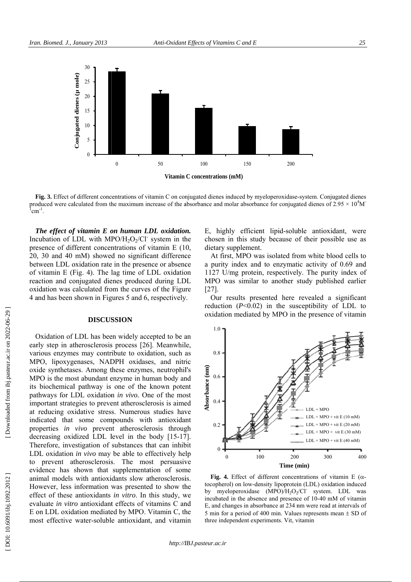

Fig. 3. Effect of different concentrations of vitamin C on conjugated dienes induced by myeloperoxidase-system. Conju **Fig. 3.** Effect of different concentrations of vitamin C on conjugated dienes induced by myeloperoxidase-system. Conjugated dienes produced were calculated from the maximum increase of the absorbance and molar absorbance  $1$ cm<sup>-1</sup>.

*The effect of vitamin E on human LDL oxidation.* Incubation of LDL with MPO/H<sub>2</sub>O<sub>2</sub>/Cl<sup>-</sup> system in the presence of different concentrations of vitamin E (1 20, 30 and 40 mM) showed no significant differenc 20, 30 and 40 mM) showed no significant difference between LDL oxidation rate in the presence or absence of vitamin E (Fig. 4). The lag time of LDL oxidatio reaction and conjugated dienes produced during LD oxidation was calculated from the curves of the Figur ar<br>O

### **DISCUSSION**

4 and has been shown in Figures 5 and 6, respectively<br> **DISCUSSION**<br>
Oxidation of LDL has been widely accepted to be a<br>
early step in atherosclerosis process [26]. Meanwhil early step in atherosclerosis process [26]. Meanwhil various enzymes may contribute to oxidation, such a MPO, lipoxygenases, NADPH oxidases, and nitr oxide synthetases. Among these enzymes, neutrophil MPO is the most abundant enzyme in human body an its biochemical pathway is one of the known poten<br>pathways for LDL oxidation in vivo. One of the mos pathways for LDL oxidation in vivo. One of the mo important strategies to prevent atherosclerosis is aime at reducing oxidative stress. Numerous studies hav indicated that some compounds with antioxidan indicated that some compounds with antioxidar<br>properties *in vivo* prevent atherosclerosis throug decreasing oxidized LDL level in the body [15-17 Therefore, investigation of substances that can inhib LDL oxidation in vivo may be able to effectively hel to prevent atherosclerosis. The most persuasive evidence has shown that supplementation of som animal models with antioxidants slow atherosclerosi However, less information was presented to show th eff evaluate in vitro antioxidant effects of vitamins C an E on LDL oxidation mediated by MPO. Vitamin C, th most effective water-soluble antioxidant, and vitam *an. Biomed. J.,*<br> **Fig. 3.** Effect *o*,<br>
cubation of  $\overline{a}$ <br>
cubation of  $\overline{a}$ <br>
cubation of  $\overline{a}$ <br>
cubation of  $\overline{a}$ <br>
cubation of  $\overline{a}$ <br>
cubation and c<br>
i), 30 and 40<br>
cubation and c<br>
is vitamin E (<br>
cubatio imal models<br>owever, less<br>fect of these<br>*r*aluate *in vitr* on. Biomed. J., January 2013<br>  $\frac{2}{3}$ <br>  $\frac{2}{3}$ <br>  $\frac{1}{3}$ <br>  $\frac{2}{3}$ <br>  $\frac{1}{3}$ <br>  $\frac{2}{3}$ <br>  $\frac{3}{3}$ <br>  $\frac{3}{3}$ <br>  $\frac{3}{3}$ <br>  $\frac{3}{3}$ <br>  $\frac{3}{3}$ <br>  $\frac{3}{3}$ <br>  $\frac{3}{3}$ <br>  $\frac{3}{3}$ <br>  $\frac{3}{3}$ <br>  $\frac{3}{3}$ <br>  $\frac{3}{3}$ <br>  $\frac{$ LDL has been widely accepted to be a antioxidants in vitro. In this study, w 10, mee on DL ure on DL ure y. an ile, as ric le, as rice and need and nt quantum is not the we need the minimum  $\frac{1}{7}$ .

E, highly efficient lipid-soluble antioxid chosen in this study because of their possi dietary supplement etary supplement.<br>At first, MPO was isolated from white blo dant, were<br>sible use as<br>ood cells to

a purity index and to enzymatic activity of 0.69 and 1127 U/mg protein, respectively. The purity index of MPO was similar to another study published earlier MPO was similar to another study publish [27].

Our results presented here revealed a significant reduction  $(P<0.02)$  in the susceptibility of LDL to oxidation mediated by MPO in the presence of vitamin



Fig. 4. Effect of different concentrations of vitamin E  $(\alpha$ tocopherol) on low-density lipoprotein (LDL) oxidation induced by myeloperoxidase  $(MPO)/H_2O_2/Cl$  system. LDL was by myeloperoxidase  $(MPO)/H_2O_2/CI$  system.<br>incubated in the absence and presence of 10-40 mM E, and changes in absorbance at 234 nm were read a 5 min for a period of 400 min. Values represents m 5 min for a period of 400 min. Values repretive independent experiments. Vit, vitamin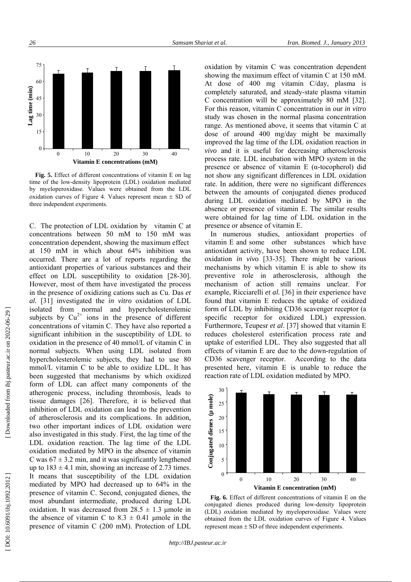

**Fig. 5.** Effect of different concentrations of vitamin E on lag time of the low-density lipoprotein (LDL) oxidation mediated by myeloperoxidase. Values were obtained from the LDL oxidation curves of Figure 4. Values represent mean  $\pm$  SD of three independent experiments.

C. The protection of LDL oxidation by vitamin C at concentrations between 50 mM to 150 mM was concentration dependent, showing the maximum effect at 150 mM in which about 64% inhibition was occurred. There are a lot of reports regarding the antioxidant properties of various substances and their effect on LDL susceptibility to oxidation [28-30]. However, most of them have investigated the process in the presence of oxidizing cations such as Cu. Das *et al.* [31] investigated the *in vitro* oxidation of LDL isolated from normal and hypercholesterolemic subjects by  $Cu^{2+}$  ions in the presence of different concentrations of vitamin C. They have also reported a significant inhibition in the susceptibility of LDL to oxidation in the presence of 40 mmol/L of vitamin C in normal subjects. When using LDL isolated from hypercholesterolemic subjects, they had to use 80 mmol/L vitamin C to be able to oxidize LDL. It has been suggested that mechanisms by which oxidized form of LDL can affect many components of the atherogenic process, including thrombosis, leads to tissue damages [26]. Therefore, it is believed that inhibition of LDL oxidation can lead to the prevention of atherosclerosis and its complications. In addition, two other important indices of LDL oxidation were also investigated in this study. First, the lag time of the LDL oxidation reaction. The lag time of the LDL oxidation mediated by MPO in the absence of vitamin C was  $67 \pm 3.2$  min, and it was significantly lengthened up to  $183 \pm 4.1$  min, showing an increase of 2.73 times. It means that susceptibility of the LDL oxidation mediated by MPO had decreased up to 64% in the presence of vitamin C. Second, conjugated dienes, the most abundant intermediate, produced during LDL oxidation. It was decreased from  $28.5 \pm 1.3$  µmole in the absence of vitamin C to  $8.3 \pm 0.41$  µmole in the presence of vitamin C (200 mM). Protection of LDL

oxidation by vitamin C was concentration dependent showing the maximum effect of vitamin C at 150 mM. At dose of 400 mg vitamin C/day, plasma is completely saturated, and steady-state plasma vitamin C concentration will be approximately 80 mM [32]. For this reason, vitamin C concentration in our *in vitro* study was chosen in the normal plasma concentration range. As mentioned above, it seems that vitamin C at dose of around 400 mg/day might be maximally improved the lag time of the LDL oxidation reaction *in vivo* and it is useful for decreasing atherosclerosis process rate. LDL incubation with MPO system in the presence or absence of vitamin  $E$  ( $\alpha$ -tocopherol) did not show any significant differences in LDL oxidation rate. In addition, there were no significant differences between the amounts of conjugated dienes produced during LDL oxidation mediated by MPO in the absence or presence of vitamin E. The similar results were obtained for lag time of LDL oxidation in the presence or absence of vitamin E.

In numerous studies, antioxidant properties of vitamin E and some other substances which have antioxidant activity, have been shown to reduce LDL oxidation *in vivo* [33-35]. There might be various mechanisms by which vitamin E is able to show its preventive role in atherosclerosis, although the mechanism of action still remains unclear. For example, Ricciarelli *et al.* [36] in their experience have found that vitamin E reduces the uptake of oxidized form of LDL by inhibiting CD36 scavenger receptor (a specific receptor for oxidized LDL) expression. Furthermore, Teupesr *et al*. [37] showed that vitamin E reduces cholesterol esterification process rate and uptake of esterified LDL. They also suggested that all effects of vitamin E are due to the down-regulation of CD36 scavenger receptor. According to the data presented here, vitamin E is unable to reduce the reaction rate of LDL oxidation mediated by MPO.



**Fig. 6.** Effect of different concentrations of vitamin E on the conjugated dienes produced during low-density lipoprotein (LDL) oxidation mediated by myeloperoxidase. Values were obtained from the LDL oxidation curves of Figure 4. Values represent mean ± SD of three independent experiments.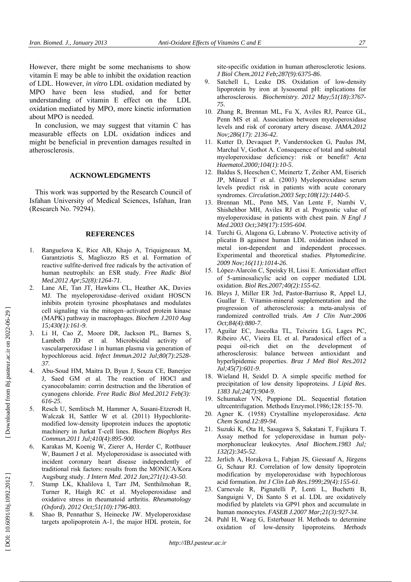However, there might be some mechanisms to show vitamin E may be able to inhibit the oxidation reaction of LDL. However, *in vitro* LDL oxidation mediated by MPO have been less studied, and for better understanding of vitamin E effect on the LDL oxidation mediated by MPO, more kinetic information about MPO is needed.

In conclusion, we may suggest that vitamin C has measurable effects on LDL oxidation indices and might be beneficial in prevention damages resulted in atherosclerosis.

## **ACKNOWLEDGMENTS**

This work was supported by the Research Council of Isfahan University of Medical Sciences, Isfahan, Iran (Research No. 79294).

## **REFERENCES**

- 1. Ranguelova K, Rice AB, Khajo A, Triquigneaux M, Garantziotis S, Magliozzo RS et al. Formation of reactive sulfite-derived free radicals by the activation of human neutrophils: an ESR study. *Free Radic Biol Med.2012 Apr;52(8):1264-71*.
- 2. Lane AE, Tan JT, Hawkins CL, Heather AK, Davies MJ. The myeloperoxidase–derived oxidant HOSCN inhibits protein tyrosine phosphatases and modulates cell signaling via the mitogen–activated protein kinase (MAPK) pathway in macrophages. *Biochem J.2010 Aug 15;430(1):161-9*.
- 3. Li H, Cao Z, Moore DR, Jackson PL, Barnes S, Lambeth JD et al. Microbicidal activity of vascularperoxidase 1 in human plasma via generation of hypochlorous acid. *Infect Immun.2012 Jul;80(7):2528- 37*.
- 4. Abu-Soud HM, Maitra D, Byun J, Souza CE, Banerjee J, Saed GM et al. The reaction of HOCl and cyanocobalamin: corrin destruction and the liberation of cyanogens chloride. *Free Radic Biol Med.2012 Feb(3): 616-25*.
- 5. Resch U, Semlitsch M, Hammer A, Susani-Etzerodt H, Walczak H, Sattler W et al. (2011) Hypochloritemodified low-density lipoprotein induces the apoptotic machinery in Jurkat T-cell lines. *Biochem Biophys Res Commun.2011 Jul;410(4):895-900*.
- 6. Karakas M, Koenig W, Zierer A, Herder C, Rottbauer W, Baumert J et al. Myeloperoxidase is associated with incident coronary heart disease independently of traditional risk factors: results from the MONICA/Kora Augsburg study. *J Intern Med. 2012 Jan;271(1):43-50*.
- Stamp LK, Khalilova I, Tarr JM, Senthilmohan R, Turner R, Haigh RC et al. Myeloperoxidase and oxidative stress in rheumatoid arthritis. *Rheumatology (Oxford). 2012 Oct;51(10):1796-803*.
- 8. Shao B, Pennathur S, Heinecke JW. Myeloperoxidase targets apolipoprotein A-1, the major HDL protein, for

site-specific oxidation in human atherosclerotic lesions. *J Biol Chem.2012 Feb;287(9):6375-86*.

- 9. Satchell L, Leake DS. Oxidation of low-density lipoprotein by iron at lysosomal pH: inplications for atherosclerosis. *Biochemistry. 2012 May;51(18):3767- 75*.
- 10. Zhang R, Brennan ML, Fu X, Aviles RJ, Pearce GL, Penn MS et al. Association between myeloperoxidase levels and risk of coronary artery disease. *JAMA.2012 Nov;286(17): 2136-42*.
- 11. Kutter D, Devaquet P, Vanderstocken G, Paulus JM, Marchal V, Gothot A. Consequence of total and subtotal myeloperoxidase deficiency: risk or benefit? *Acta Haematol.2000;104(1):10-5*.
- 12. Baldus S, Heeschen C, Meinertz T, Zeiher AM, Eiserich JP, Münzel T et al. (2003) Myeloperoxidase serum levels predict risk in patients with acute coronary syndromes. *Circulation.2003 Sep;108(12):1440-5*.
- 13. Brennan ML, Penn MS, Van Lente F, Nambi V, Shishehbor MH, Aviles RJ et al. Prognostic value of myeloperoxidase in patients with chest pain. *N Engl J Med.2003 Oct;349(17):1595-604*.
- 14. Turchi G, Alagona G, Lubrano V. Protective activity of plicatin B againest human LDL oxidation induced in metal ion-dependent and independent processes. Experimental and theoretical studies. *Phytomedicine. 2009 Nov;16(11):1014-26*.
- 15. López-Alarcón C, Speisky H, Lissi E. Antioxidant effect of 5-aminosalicylic acid on copper mediated LDL oxidation. *Biol Res.2007;40(2):155-62*.
- 16. Bleys J, Miller ER 3rd, Pastor-Barriuso R, Appel LJ, Guallar E. Vitamin-mineral supplementation and the progression of atherosclerosis: a meta-analysis of randomized controlled trials. *Am J Clin Nutr.2006 Oct;84(4):880-7*.
- 17. Aguilar EC, Jascolka TL, Teixeira LG, Lages PC, Ribeiro AC, Vieira EL et al. Paradoxical effect of a pequi oil-rich diet on the development of atherosclerosis: balance between antioxidant and hyperlipidemic properties. *Braz J Med Biol Res.2012 Jul;45(7):601-9*.
- 18. Wieland H, Seidel D. A simple specific method for precipitation of low density lipoproteins. *J Lipid Res. 1383 Jul;24(7):904-9*.
- 19. Schumaker VN, Puppione DL. Sequential flotation ultrcentrifugation. Methods Enzymol.1986;128:155-70.
- 20. Agner K. (1958) Crystalline myeloperoxidase. *Acta Chem Scand.12:89-94*.
- 21. Suzuki K, Ota H, Sasagawa S, Sakatani T, Fujikura T. Assay method for yeloperoxidase in human polymorphonuclear leukocytes. *Anal Biochem.1983 Jul; 132(2):345-52*.
- 22. Jerlich A, Horakova L, Fabjan JS, Giessauf A, Jürgens G, Schaur RJ. Correlation of low density lipoprotein modification by myeloperoxidase with hypochlorous acid formation. *Int J Clin Lab Res.1999;29(4):155-61*.
- 23. Carnevale R, Pignatelli P, Lenti L, Buchetti B, Sanguigni V, Di Santo S et al. LDL are oxidatively modified by platelets via GP91 phox and accumulate in human monocytes. *FASEB J.2007 Mar;21(3):927-34*.
- 24. Puhl H, Waeg G, Esterbauer H. Methods to determine oxidation of low-density lipoproteins. *Methods*